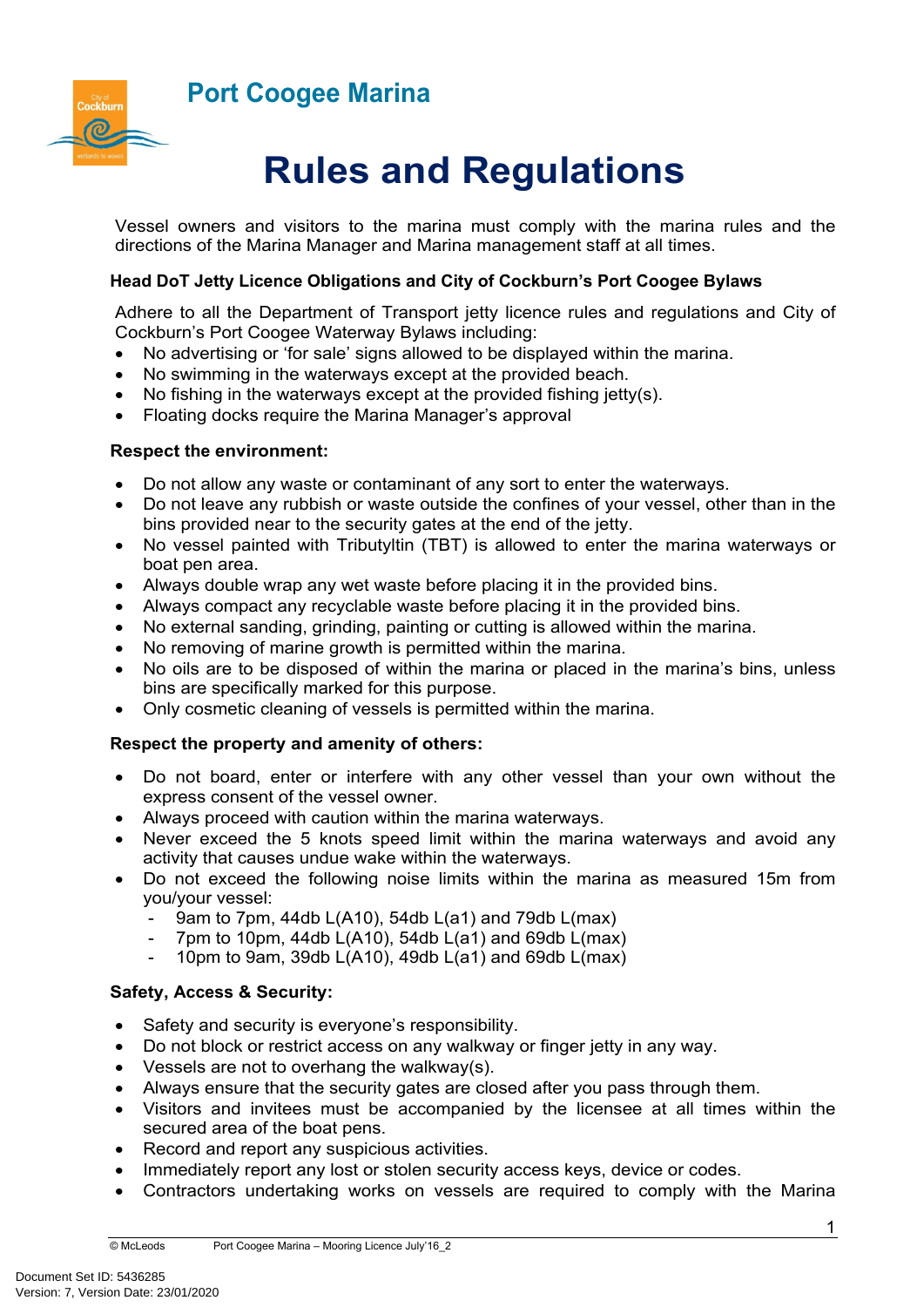# **Port Coogee Marina**



# **Rules and Regulations**

Vessel owners and visitors to the marina must comply with the marina rules and the directions of the Marina Manager and Marina management staff at all times.

## **Head DoT Jetty Licence Obligations and City of Cockburn's Port Coogee Bylaws**

Adhere to all the Department of Transport jetty licence rules and regulations and City of Cockburn's Port Coogee Waterway Bylaws including:

- No advertising or 'for sale' signs allowed to be displayed within the marina.
- No swimming in the waterways except at the provided beach.
- No fishing in the waterways except at the provided fishing jetty(s).
- Floating docks require the Marina Manager's approval

### **Respect the environment:**

- Do not allow any waste or contaminant of any sort to enter the waterways.
- Do not leave any rubbish or waste outside the confines of your vessel, other than in the bins provided near to the security gates at the end of the jetty.
- No vessel painted with Tributyltin (TBT) is allowed to enter the marina waterways or boat pen area.
- Always double wrap any wet waste before placing it in the provided bins.
- Always compact any recyclable waste before placing it in the provided bins.
- No external sanding, grinding, painting or cutting is allowed within the marina.
- No removing of marine growth is permitted within the marina.
- No oils are to be disposed of within the marina or placed in the marina's bins, unless bins are specifically marked for this purpose.
- Only cosmetic cleaning of vessels is permitted within the marina.

### **Respect the property and amenity of others:**

- Do not board, enter or interfere with any other vessel than your own without the express consent of the vessel owner.
- Always proceed with caution within the marina waterways.
- Never exceed the 5 knots speed limit within the marina waterways and avoid any activity that causes undue wake within the waterways.
- Do not exceed the following noise limits within the marina as measured 15m from you/your vessel:
	- 9am to 7pm, 44db L(A10), 54db L(a1) and 79db L(max)
	- 7pm to 10pm, 44db  $L(A10)$ , 54db  $L(a1)$  and 69db  $L(max)$
	- 10pm to 9am, 39db L(A10), 49db L(a1) and 69db L(max)

# **Safety, Access & Security:**

- Safety and security is everyone's responsibility.
- Do not block or restrict access on any walkway or finger jetty in any way.
- Vessels are not to overhang the walkway(s).
- Always ensure that the security gates are closed after you pass through them.
- Visitors and invitees must be accompanied by the licensee at all times within the secured area of the boat pens.
- Record and report any suspicious activities.
- Immediately report any lost or stolen security access keys, device or codes.
- Contractors undertaking works on vessels are required to comply with the Marina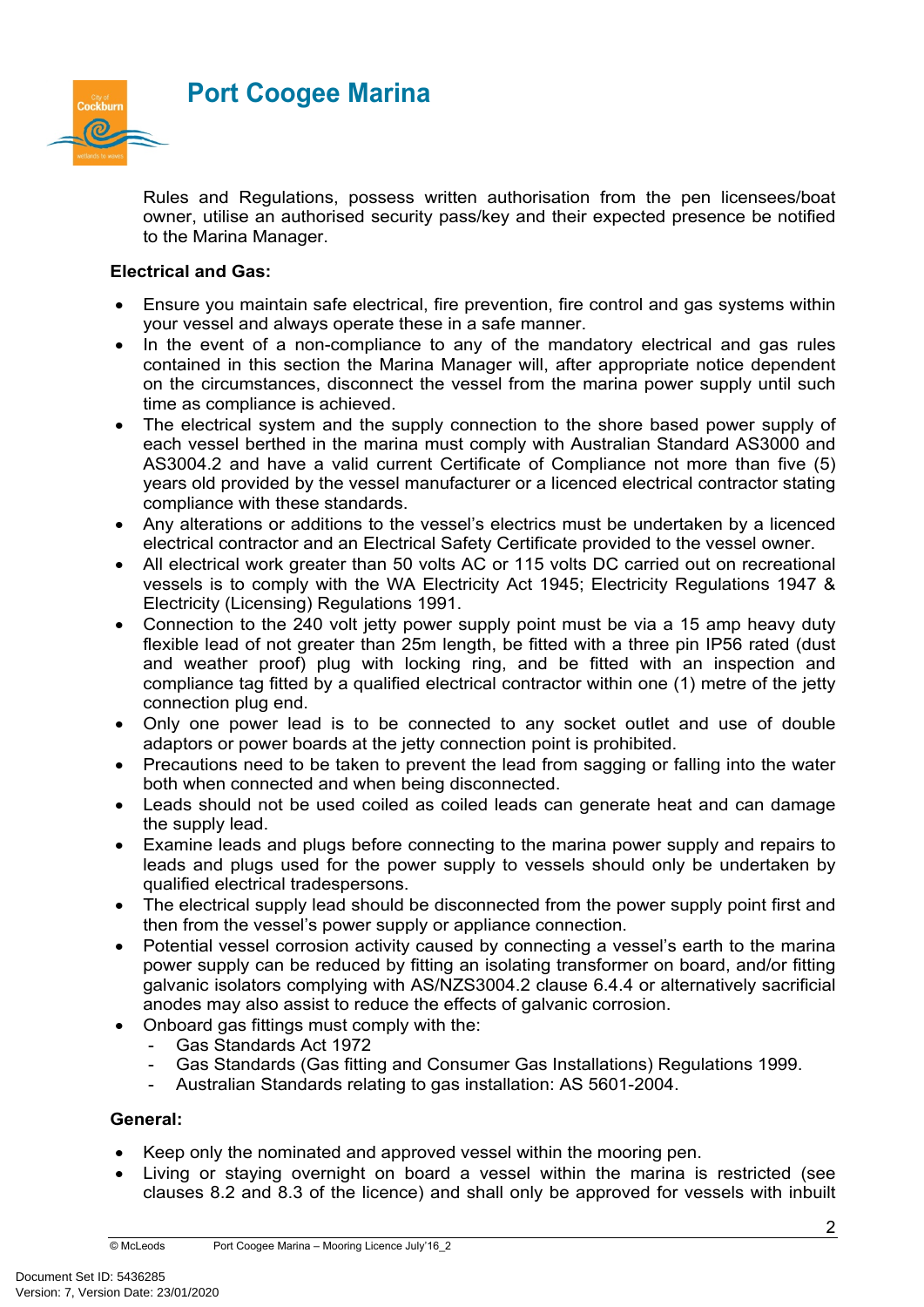

Rules and Regulations, possess written authorisation from the pen licensees/boat owner, utilise an authorised security pass/key and their expected presence be notified to the Marina Manager.

## **Electrical and Gas:**

- Ensure you maintain safe electrical, fire prevention, fire control and gas systems within your vessel and always operate these in a safe manner.
- In the event of a non-compliance to any of the mandatory electrical and gas rules contained in this section the Marina Manager will, after appropriate notice dependent on the circumstances, disconnect the vessel from the marina power supply until such time as compliance is achieved.
- The electrical system and the supply connection to the shore based power supply of each vessel berthed in the marina must comply with Australian Standard AS3000 and AS3004.2 and have a valid current Certificate of Compliance not more than five (5) years old provided by the vessel manufacturer or a licenced electrical contractor stating compliance with these standards.
- Any alterations or additions to the vessel's electrics must be undertaken by a licenced electrical contractor and an Electrical Safety Certificate provided to the vessel owner.
- All electrical work greater than 50 volts AC or 115 volts DC carried out on recreational vessels is to comply with the WA Electricity Act 1945; Electricity Regulations 1947 & Electricity (Licensing) Regulations 1991.
- Connection to the 240 volt jetty power supply point must be via a 15 amp heavy duty flexible lead of not greater than 25m length, be fitted with a three pin IP56 rated (dust and weather proof) plug with locking ring, and be fitted with an inspection and compliance tag fitted by a qualified electrical contractor within one (1) metre of the jetty connection plug end.
- Only one power lead is to be connected to any socket outlet and use of double adaptors or power boards at the jetty connection point is prohibited.
- Precautions need to be taken to prevent the lead from sagging or falling into the water both when connected and when being disconnected.
- Leads should not be used coiled as coiled leads can generate heat and can damage the supply lead.
- Examine leads and plugs before connecting to the marina power supply and repairs to leads and plugs used for the power supply to vessels should only be undertaken by qualified electrical tradespersons.
- The electrical supply lead should be disconnected from the power supply point first and then from the vessel's power supply or appliance connection.
- Potential vessel corrosion activity caused by connecting a vessel's earth to the marina power supply can be reduced by fitting an isolating transformer on board, and/or fitting galvanic isolators complying with AS/NZS3004.2 clause 6.4.4 or alternatively sacrificial anodes may also assist to reduce the effects of galvanic corrosion.
- Onboard gas fittings must comply with the:
	- Gas Standards Act 1972
	- Gas Standards (Gas fitting and Consumer Gas Installations) Regulations 1999.
	- Australian Standards relating to gas installation: AS 5601-2004.

### **General:**

- Keep only the nominated and approved vessel within the mooring pen.
- Living or staying overnight on board a vessel within the marina is restricted (see clauses 8.2 and 8.3 of the licence) and shall only be approved for vessels with inbuilt